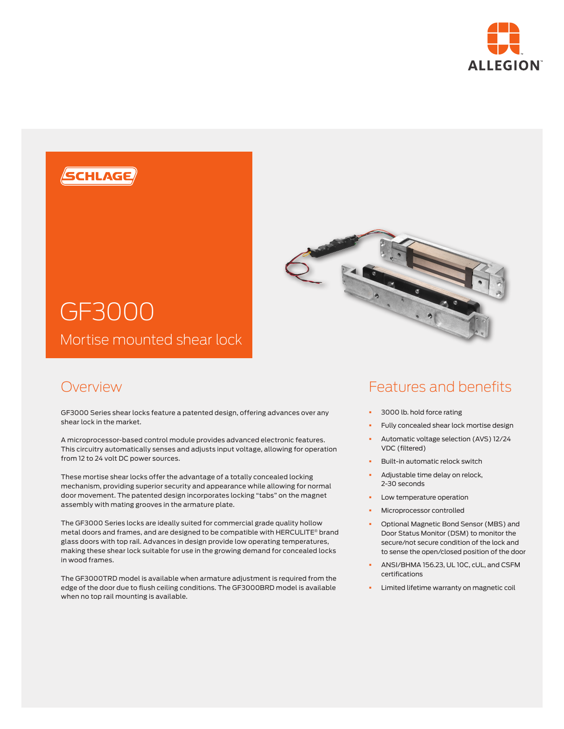



## Overview

GF3000 Series shear locks feature a patented design, offering advances over any shear lock in the market.

A microprocessor-based control module provides advanced electronic features. This circuitry automatically senses and adjusts input voltage, allowing for operation from 12 to 24 volt DC power sources.

These mortise shear locks offer the advantage of a totally concealed locking mechanism, providing superior security and appearance while allowing for normal door movement. The patented design incorporates locking "tabs" on the magnet assembly with mating grooves in the armature plate.

The GF3000 Series locks are ideally suited for commercial grade quality hollow metal doors and frames, and are designed to be compatible with HERCULITE® brand glass doors with top rail. Advances in design provide low operating temperatures, making these shear lock suitable for use in the growing demand for concealed locks in wood frames.

The GF3000TRD model is available when armature adjustment is required from the edge of the door due to flush ceiling conditions. The GF3000BRD model is available when no top rail mounting is available.

# Features and benefits

- § 3000 lb. hold force rating
- Fully concealed shear lock mortise design
- § Automatic voltage selection (AVS) 12/24 VDC (filtered)
- § Built-in automatic relock switch
- § Adjustable time delay on relock, 2-30 seconds
- Low temperature operation
- § Microprocessor controlled
- § Optional Magnetic Bond Sensor (MBS) and Door Status Monitor (DSM) to monitor the secure/not secure condition of the lock and to sense the open/closed position of the door
- § ANSI/BHMA 156.23, UL 10C, cUL, and CSFM certifications
- Limited lifetime warranty on magnetic coil